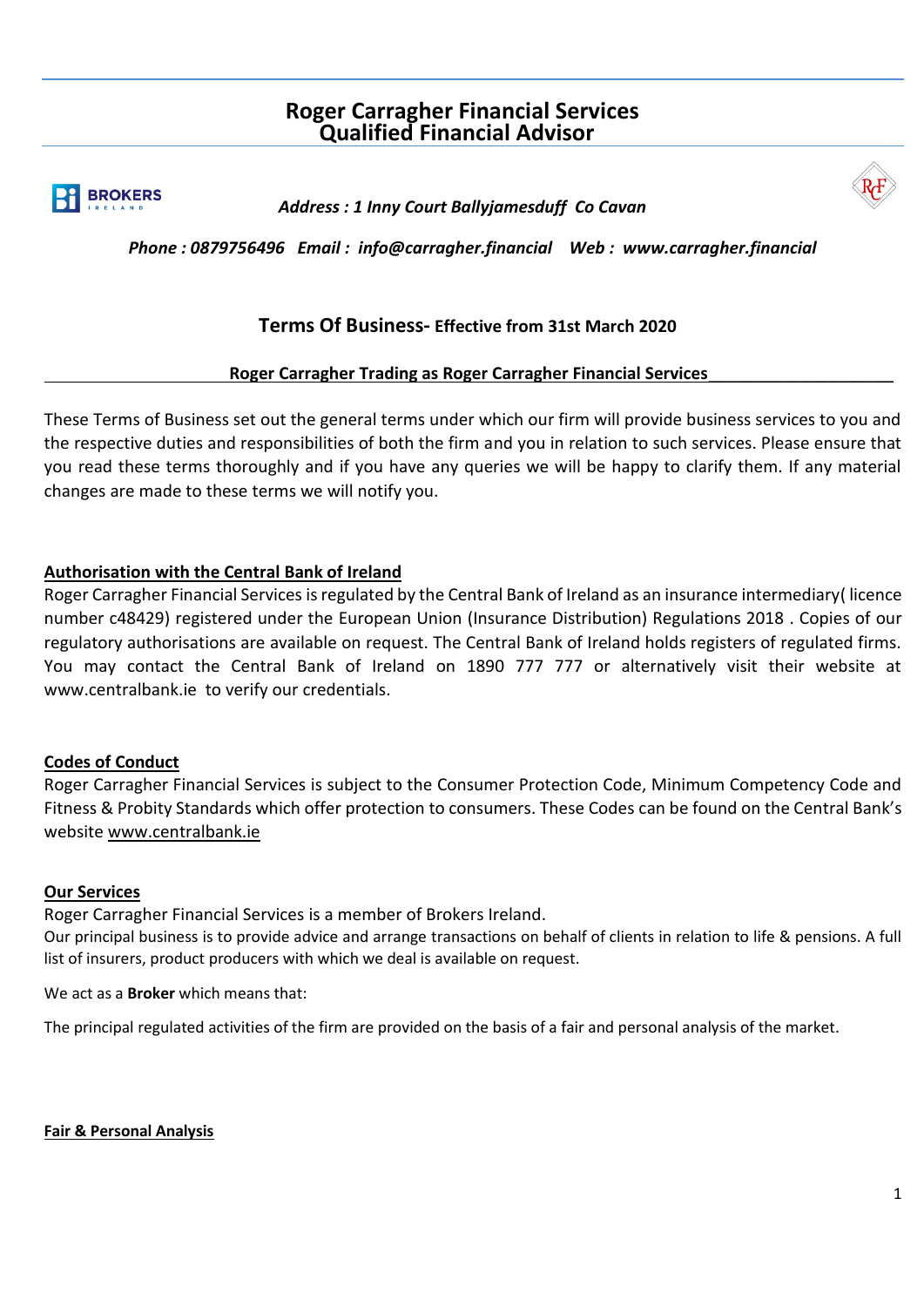# **Roger Carragher Financial Services Qualified Financial Advisor**



 *Address : 1 Inny Court Ballyjamesduff Co Cavan* 



 *Phone : 0879756496 Email : info@carragher.financial Web : www.carragher.financial* 

## **Terms Of Business- Effective from 31st March 2020**

## **Roger Carragher Trading as Roger Carragher Financial Services**\_\_\_\_\_\_\_\_\_\_\_\_\_\_\_\_\_\_\_\_

These Terms of Business set out the general terms under which our firm will provide business services to you and the respective duties and responsibilities of both the firm and you in relation to such services. Please ensure that you read these terms thoroughly and if you have any queries we will be happy to clarify them. If any material changes are made to these terms we will notify you.

## **Authorisation with the Central Bank of Ireland**

Roger Carragher Financial Services is regulated by the Central Bank of Ireland as an insurance intermediary( licence number c48429) registered under the European Union (Insurance Distribution) Regulations 2018 . Copies of our regulatory authorisations are available on request. The Central Bank of Ireland holds registers of regulated firms. You may contact the Central Bank of Ireland on 1890 777 777 or alternatively visit their website at [www.centralbank.ie](http://www.centralbank.ie/) to verify our credentials.

## **Codes of Conduct**

Roger Carragher Financial Services is subject to the Consumer Protection Code, Minimum Competency Code and Fitness & Probity Standards which offer protection to consumers. These Codes can be found on the Central Bank's website [www.centralbank.ie](http://www.centralbank.ie/)

## **Our Services**

Roger Carragher Financial Services is a member of Brokers Ireland.

Our principal business is to provide advice and arrange transactions on behalf of clients in relation to life & pensions. A full list of insurers, product producers with which we deal is available on request.

We act as a **Broker** which means that:

The principal regulated activities of the firm are provided on the basis of a fair and personal analysis of the market.

**Fair & Personal Analysis**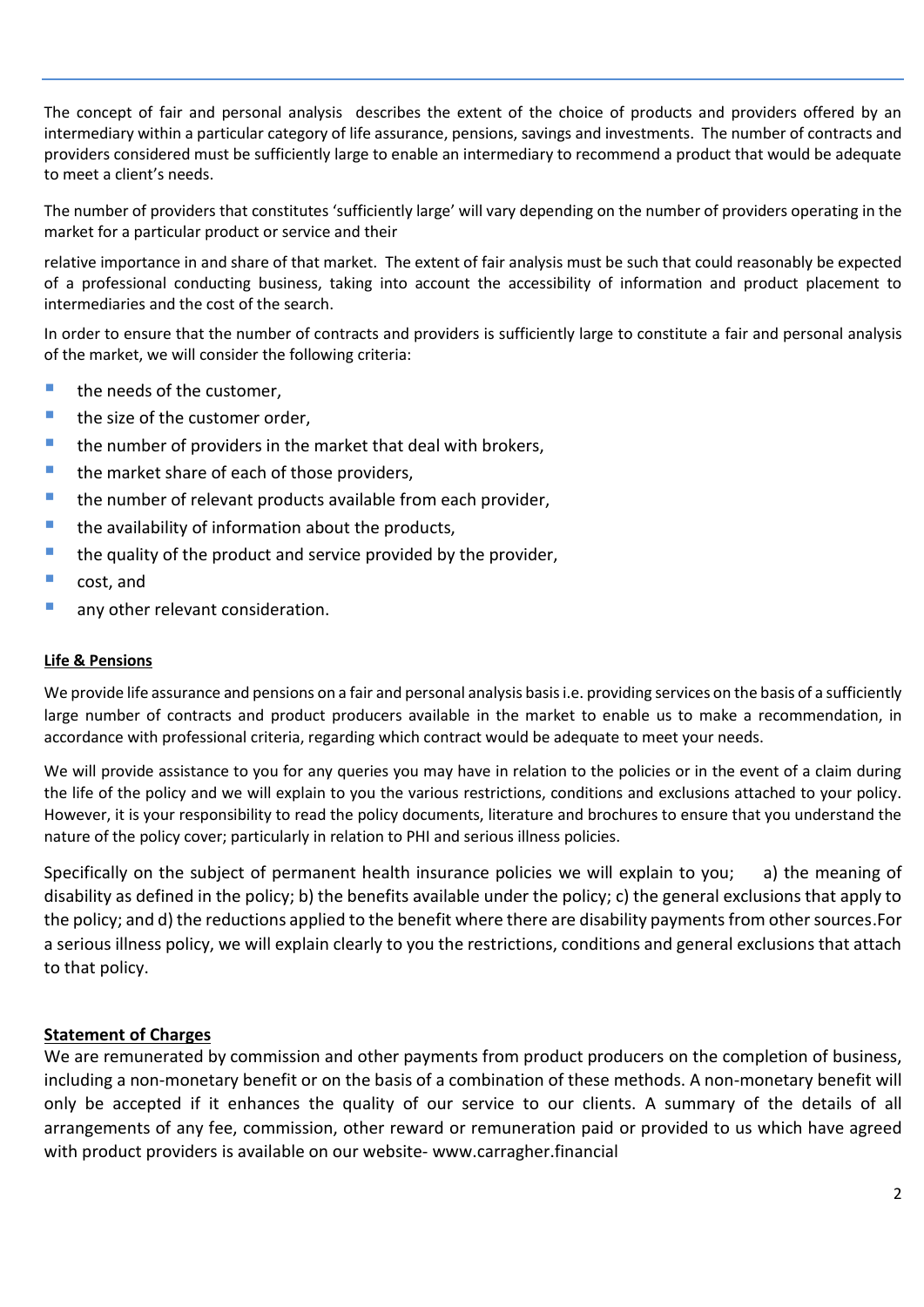The concept of fair and personal analysis describes the extent of the choice of products and providers offered by an intermediary within a particular category of life assurance, pensions, savings and investments. The number of contracts and providers considered must be sufficiently large to enable an intermediary to recommend a product that would be adequate to meet a client's needs.

The number of providers that constitutes 'sufficiently large' will vary depending on the number of providers operating in the market for a particular product or service and their

relative importance in and share of that market. The extent of fair analysis must be such that could reasonably be expected of a professional conducting business, taking into account the accessibility of information and product placement to intermediaries and the cost of the search.

In order to ensure that the number of contracts and providers is sufficiently large to constitute a fair and personal analysis of the market, we will consider the following criteria:

- the needs of the customer,
- the size of the customer order,
- $\blacksquare$  the number of providers in the market that deal with brokers,
- $\blacksquare$  the market share of each of those providers.
- the number of relevant products available from each provider,
- the availability of information about the products,
- $\blacksquare$  the quality of the product and service provided by the provider,
- cost, and
- **E** any other relevant consideration.

### **Life & Pensions**

We provide life assurance and pensions on a fair and personal analysis basis i.e. providing services on the basis of a sufficiently large number of contracts and product producers available in the market to enable us to make a recommendation, in accordance with professional criteria, regarding which contract would be adequate to meet your needs.

We will provide assistance to you for any queries you may have in relation to the policies or in the event of a claim during the life of the policy and we will explain to you the various restrictions, conditions and exclusions attached to your policy. However, it is your responsibility to read the policy documents, literature and brochures to ensure that you understand the nature of the policy cover; particularly in relation to PHI and serious illness policies.

Specifically on the subject of permanent health insurance policies we will explain to you; a) the meaning of disability as defined in the policy; b) the benefits available under the policy; c) the general exclusions that apply to the policy; and d) the reductions applied to the benefit where there are disability payments from other sources.For a serious illness policy, we will explain clearly to you the restrictions, conditions and general exclusions that attach to that policy.

## **Statement of Charges**

We are remunerated by commission and other payments from product producers on the completion of business, including a non-monetary benefit or on the basis of a combination of these methods. A non-monetary benefit will only be accepted if it enhances the quality of our service to our clients. A summary of the details of all arrangements of any fee, commission, other reward or remuneration paid or provided to us which have agreed with product providers is available on our website- www.carragher.financial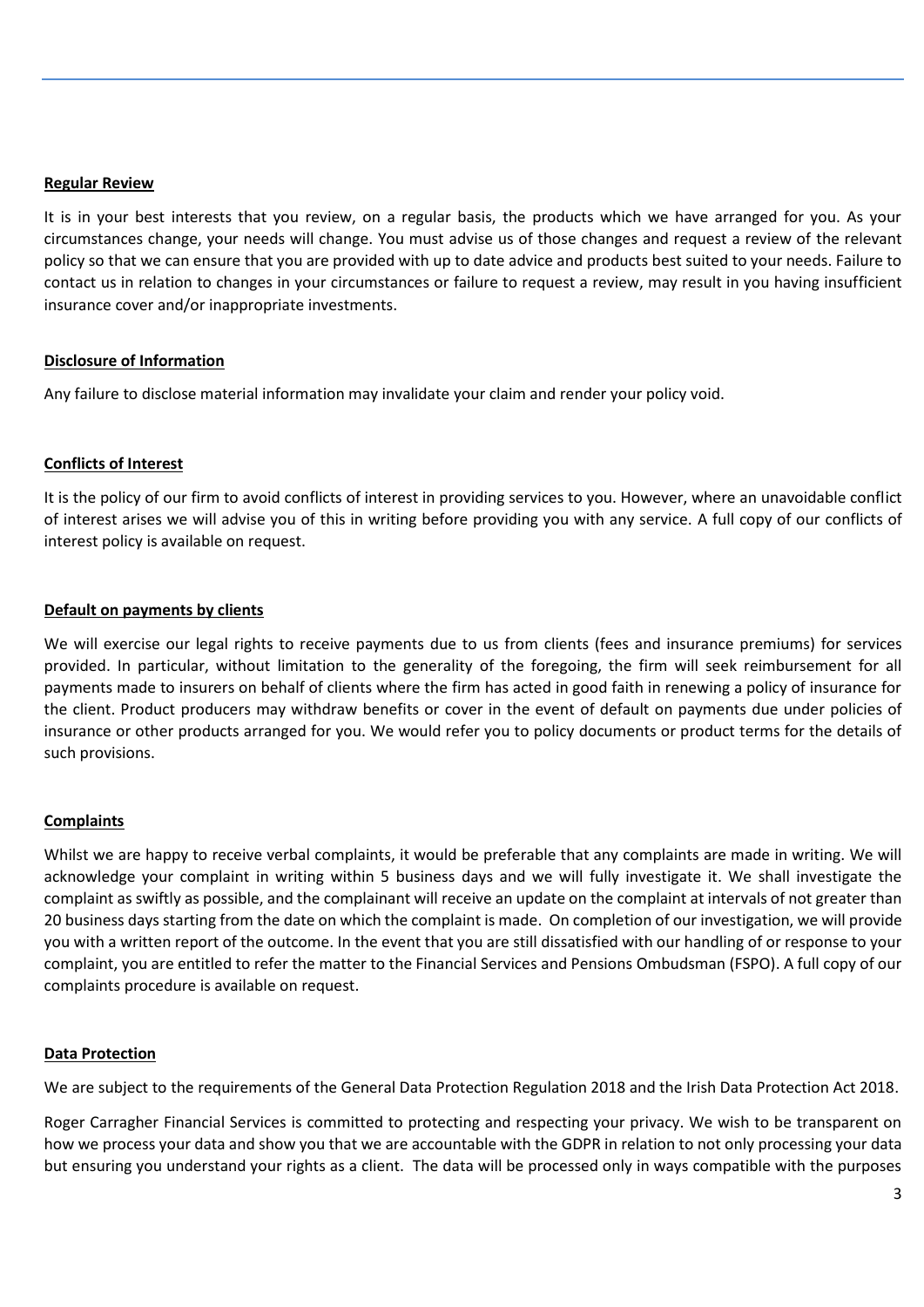#### **Regular Review**

It is in your best interests that you review, on a regular basis, the products which we have arranged for you. As your circumstances change, your needs will change. You must advise us of those changes and request a review of the relevant policy so that we can ensure that you are provided with up to date advice and products best suited to your needs. Failure to contact us in relation to changes in your circumstances or failure to request a review, may result in you having insufficient insurance cover and/or inappropriate investments.

#### **Disclosure of Information**

Any failure to disclose material information may invalidate your claim and render your policy void.

#### **Conflicts of Interest**

It is the policy of our firm to avoid conflicts of interest in providing services to you. However, where an unavoidable conflict of interest arises we will advise you of this in writing before providing you with any service. A full copy of our conflicts of interest policy is available on request.

#### **Default on payments by clients**

We will exercise our legal rights to receive payments due to us from clients (fees and insurance premiums) for services provided. In particular, without limitation to the generality of the foregoing, the firm will seek reimbursement for all payments made to insurers on behalf of clients where the firm has acted in good faith in renewing a policy of insurance for the client. Product producers may withdraw benefits or cover in the event of default on payments due under policies of insurance or other products arranged for you. We would refer you to policy documents or product terms for the details of such provisions.

#### **Complaints**

Whilst we are happy to receive verbal complaints, it would be preferable that any complaints are made in writing. We will acknowledge your complaint in writing within 5 business days and we will fully investigate it. We shall investigate the complaint as swiftly as possible, and the complainant will receive an update on the complaint at intervals of not greater than 20 business days starting from the date on which the complaint is made. On completion of our investigation, we will provide you with a written report of the outcome. In the event that you are still dissatisfied with our handling of or response to your complaint, you are entitled to refer the matter to the Financial Services and Pensions Ombudsman (FSPO). A full copy of our complaints procedure is available on request.

#### **Data Protection**

We are subject to the requirements of the General Data Protection Regulation 2018 and the Irish Data Protection Act 2018.

Roger Carragher Financial Services is committed to protecting and respecting your privacy. We wish to be transparent on how we process your data and show you that we are accountable with the GDPR in relation to not only processing your data but ensuring you understand your rights as a client. The data will be processed only in ways compatible with the purposes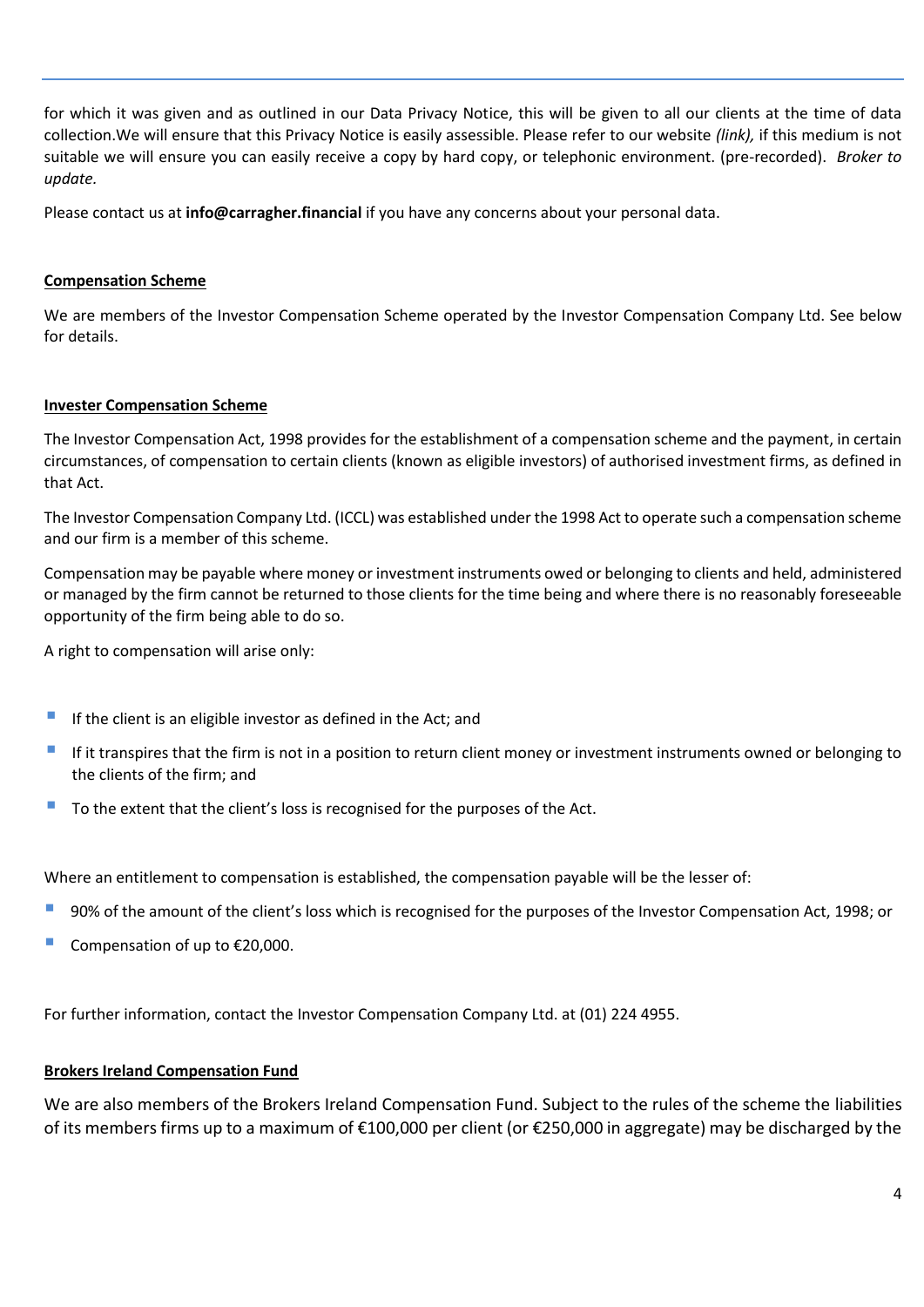for which it was given and as outlined in our Data Privacy Notice, this will be given to all our clients at the time of data collection.We will ensure that this Privacy Notice is easily assessible. Please refer to our website *(link),* if this medium is not suitable we will ensure you can easily receive a copy by hard copy, or telephonic environment. (pre-recorded). *Broker to update.* 

Please contact us at **info@carragher.financial** if you have any concerns about your personal data.

#### **Compensation Scheme**

We are members of the Investor Compensation Scheme operated by the Investor Compensation Company Ltd. See below for details.

#### **Invester Compensation Scheme**

The Investor Compensation Act, 1998 provides for the establishment of a compensation scheme and the payment, in certain circumstances, of compensation to certain clients (known as eligible investors) of authorised investment firms, as defined in that Act.

The Investor Compensation Company Ltd. (ICCL) was established under the 1998 Act to operate such a compensation scheme and our firm is a member of this scheme.

Compensation may be payable where money or investment instruments owed or belonging to clients and held, administered or managed by the firm cannot be returned to those clients for the time being and where there is no reasonably foreseeable opportunity of the firm being able to do so.

A right to compensation will arise only:

- $\blacksquare$  If the client is an eligible investor as defined in the Act; and
- If it transpires that the firm is not in a position to return client money or investment instruments owned or belonging to the clients of the firm; and
- To the extent that the client's loss is recognised for the purposes of the Act.

Where an entitlement to compensation is established, the compensation payable will be the lesser of:

- 90% of the amount of the client's loss which is recognised for the purposes of the Investor Compensation Act, 1998; or
- Compensation of up to  $£20,000$ .

For further information, contact the Investor Compensation Company Ltd. at (01) 224 4955.

## **Brokers Ireland Compensation Fund**

We are also members of the Brokers Ireland Compensation Fund. Subject to the rules of the scheme the liabilities of its members firms up to a maximum of €100,000 per client (or €250,000 in aggregate) may be discharged by the